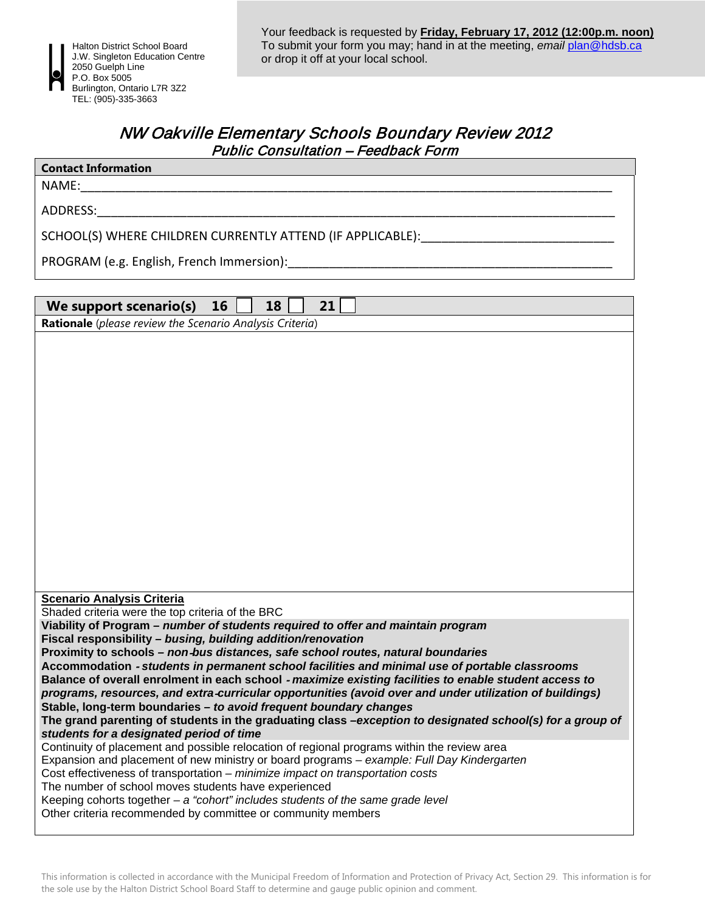

## NW Oakville Elementary Schools Boundary Review 2012 Public Consultation – Feedback Form

| <b>Contact Information</b> |  |
|----------------------------|--|
|                            |  |

 $NAME:$ 

ADDRESS:\_\_\_\_\_\_\_\_\_\_\_\_\_\_\_\_\_\_\_\_\_\_\_\_\_\_\_\_\_\_\_\_\_\_\_\_\_\_\_\_\_\_\_\_\_\_\_\_\_\_\_\_\_\_\_\_\_\_\_\_\_\_\_\_\_\_\_\_\_\_\_\_\_\_\_

SCHOOL(S) WHERE CHILDREN CURRENTLY ATTEND (IF APPLICABLE):

PROGRAM (e.g. English, French Immersion):

| 21<br>We support scenario(s)<br>16<br>18                                                                                                                                                  |  |  |
|-------------------------------------------------------------------------------------------------------------------------------------------------------------------------------------------|--|--|
| Rationale (please review the Scenario Analysis Criteria)                                                                                                                                  |  |  |
|                                                                                                                                                                                           |  |  |
| <b>Scenario Analysis Criteria</b>                                                                                                                                                         |  |  |
| Shaded criteria were the top criteria of the BRC                                                                                                                                          |  |  |
| Viability of Program – number of students required to offer and maintain program                                                                                                          |  |  |
| Fiscal responsibility - busing, building addition/renovation<br>Proximity to schools - non-bus distances, safe school routes, natural boundaries                                          |  |  |
| Accommodation - students in permanent school facilities and minimal use of portable classrooms                                                                                            |  |  |
| Balance of overall enrolment in each school - maximize existing facilities to enable student access to                                                                                    |  |  |
| programs, resources, and extra-curricular opportunities (avoid over and under utilization of buildings)                                                                                   |  |  |
| Stable, long-term boundaries - to avoid frequent boundary changes                                                                                                                         |  |  |
| The grand parenting of students in the graduating class -exception to designated school(s) for a group of                                                                                 |  |  |
| students for a designated period of time                                                                                                                                                  |  |  |
| Continuity of placement and possible relocation of regional programs within the review area<br>Expansion and placement of new ministry or board programs - example: Full Day Kindergarten |  |  |
| Cost effectiveness of transportation - minimize impact on transportation costs                                                                                                            |  |  |
| The number of school moves students have experienced                                                                                                                                      |  |  |
| Keeping cohorts together $-a$ "cohort" includes students of the same grade level                                                                                                          |  |  |
| Other criteria recommended by committee or community members                                                                                                                              |  |  |